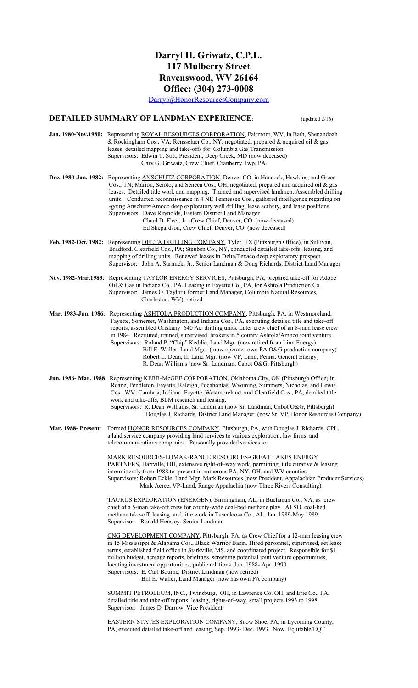## **Darryl H. Griwatz, C.P.L. 117 Mulberry Street Ravenswood, WV 26164 Office:** (304) 273-0008

[Darryl@HonorResourcesCompany.com](mailto:Darryl@HonorResourcesCompany.com)

## **DETAILED SUMMARY OF LANDMAN EXPERIENCE**: (updated 2/16)

|                            | Jan. 1980-Nov.1980: Representing ROYAL RESOURCES CORPORATION, Fairmont, WV, in Bath, Shenandoah<br>& Rockingham Cos., VA; Rensselaer Co., NY, negotiated, prepared & acquired oil & gas<br>leases, detailed mapping and take-offs for Columbia Gas Transmission.<br>Supervisors: Edwin T. Stitt, President, Deep Creek, MD (now deceased)<br>Gary G. Griwatz, Crew Chief, Cranberry Twp, PA.                                                                                                                                                                                                                                                                                            |
|----------------------------|-----------------------------------------------------------------------------------------------------------------------------------------------------------------------------------------------------------------------------------------------------------------------------------------------------------------------------------------------------------------------------------------------------------------------------------------------------------------------------------------------------------------------------------------------------------------------------------------------------------------------------------------------------------------------------------------|
|                            | Dec. 1980-Jan. 1982: Representing ANSCHUTZ CORPORATION, Denver CO, in Hancock, Hawkins, and Green<br>Cos., TN; Marion, Scioto, and Seneca Cos., OH, negotiated, prepared and acquired oil & gas<br>leases. Detailed title work and mapping. Trained and supervised landmen. Assembled drilling<br>units. Conducted reconnaissance in 4 NE Tennessee Cos., gathered intelligence regarding on<br>-going Anschutz/Amoco deep exploratory well drilling, lease activity, and lease positions.<br>Supervisors: Dave Reynolds, Eastern District Land Manager<br>Claud D. Fleet, Jr., Crew Chief, Denver, CO. (now deceased)<br>Ed Shepardson, Crew Chief, Denver, CO. (now deceased)         |
| Feb. 1982-Oct. 1982:       | Representing DELTA DRILLING COMPANY, Tyler, TX (Pittsburgh Office), in Sullivan,<br>Bradford, Clearfield Cos., PA; Steuben Co., NY, conducted detailed take-offs, leasing, and<br>mapping of drilling units. Renewed leases in Delta/Texaco deep exploratory prospect.<br>Supervisor: John A. Surmick, Jr., Senior Landman & Doug Richards, District Land Manager                                                                                                                                                                                                                                                                                                                       |
|                            | Nov. 1982-Mar.1983: Representing TAYLOR ENERGY SERVICES, Pittsburgh, PA, prepared take-off for Adobe<br>Oil & Gas in Indiana Co., PA. Leasing in Fayette Co., PA, for Ashtola Production Co.<br>Supervisor: James O. Taylor (former Land Manager, Columbia Natural Resources,<br>Charleston, WV), retired                                                                                                                                                                                                                                                                                                                                                                               |
|                            | Mar. 1983-Jun. 1986: Representing ASHTOLA PRODUCTION COMPANY, Pittsburgh, PA, in Westmoreland,<br>Fayette, Somerset, Washington, and Indiana Cos., PA, executing detailed title and take-off<br>reports, assembled Oriskany 640 Ac. drilling units. Later crew chief of an 8-man lease crew<br>in 1984. Recruited, trained, supervised brokers in 5 county Ashtola/Amoco joint venture.<br>Supervisors: Roland P. "Chip" Keddie, Land Mgr. (now retired from Linn Energy)<br>Bill E. Waller, Land Mgr. (now operates own PA O&G production company)<br>Robert L. Dean, II, Land Mgr. (now VP, Land, Penna. General Energy)<br>R. Dean Williams (now Sr. Landman, Cabot O&G, Pittsburgh) |
|                            | Jun. 1986- Mar. 1988: Representing KERR-McGEE CORPORATION, Oklahoma City, OK (Pittsburgh Office) in<br>Roane, Pendleton, Fayette, Raleigh, Pocahontas, Wyoming, Summers, Nicholas, and Lewis<br>Cos., WV; Cambria, Indiana, Fayette, Westmoreland, and Clearfield Cos., PA, detailed title<br>work and take-offs, BLM research and leasing.<br>Supervisors: R. Dean Williams, Sr. Landman (now Sr. Landman, Cabot O&G, Pittsburgh)<br>Douglas J. Richards, District Land Manager (now Sr. VP, Honor Resources Company)                                                                                                                                                                  |
| <b>Mar. 1988- Present:</b> | Formed HONOR RESOURCES COMPANY, Pittsburgh, PA, with Douglas J. Richards, CPL,<br>a land service company providing land services to various exploration, law firms, and<br>telecommunications companies. Personally provided services to:                                                                                                                                                                                                                                                                                                                                                                                                                                               |
|                            | MARK RESOURCES-LOMAK-RANGE RESOURCES-GREAT LAKES ENERGY<br>PARTNERS, Hartville, OH, extensive right-of-way work, permitting, title curative & leasing<br>intermittently from 1988 to present in numerous PA, NY, OH, and WV counties.<br>Supervisors: Robert Eckle, Land Mgr, Mark Resources (now President, Appalachian Producer Services)<br>Mark Acree, VP-Land, Range Appalachia (now Three Rivers Consulting)                                                                                                                                                                                                                                                                      |
|                            | TAURUS EXPLORATION (ENERGEN), Birmingham, AL, in Buchanan Co., VA, as crew<br>chief of a 5-man take-off crew for county-wide coal-bed methane play. ALSO, coal-bed<br>methane take-off, leasing, and title work in Tuscaloosa Co., AL, Jan. 1989-May 1989.<br>Supervisor: Ronald Hensley, Senior Landman                                                                                                                                                                                                                                                                                                                                                                                |
|                            | CNG DEVELOPMENT COMPANY. Pittsburgh, PA, as Crew Chief for a 12-man leasing crew<br>in 15 Mississippi & Alabama Cos., Black Warrior Basin. Hired personnel, supervised, set lease<br>terms, established field office in Starkville, MS, and coordinated project. Responsible for \$1<br>million budget, acreage reports, briefings, screening potential joint venture opportunities,<br>locating investment opportunities, public relations, Jun. 1988- Apr. 1990.<br>Supervisors: E. Carl Bourne, District Landman (now retired)<br>Bill E. Waller, Land Manager (now has own PA company)                                                                                              |
|                            | SUMMIT PETROLEUM, INC., Twinsburg, OH, in Lawrence Co. OH, and Erie Co., PA,<br>detailed title and take-off reports, leasing, rights-of-way, small projects 1993 to 1998.<br>Supervisor: James D. Darrow, Vice President                                                                                                                                                                                                                                                                                                                                                                                                                                                                |
|                            | EASTERN STATES EXPLORATION COMPANY, Snow Shoe, PA, in Lycoming County,<br>PA, executed detailed take-off and leasing, Sep. 1993- Dec. 1993. Now Equitable/EQT                                                                                                                                                                                                                                                                                                                                                                                                                                                                                                                           |